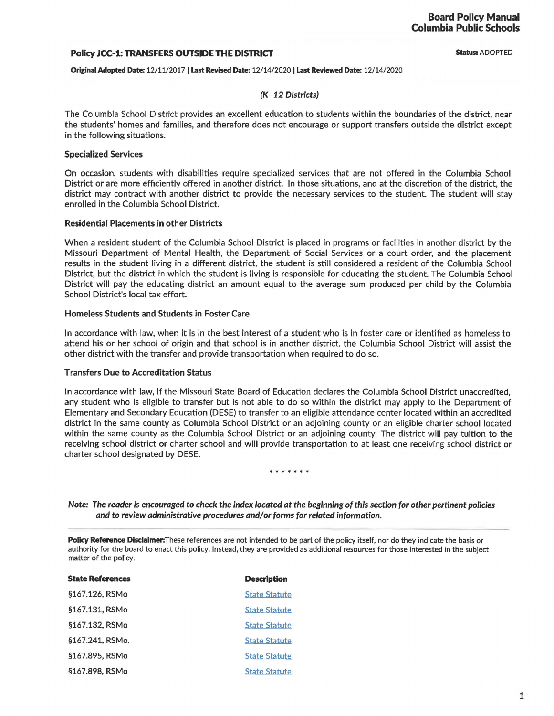#### Policy JCC-1: TRANSFERS OUTSIDE THE DISTRICT

Status: ADOPTED

#### Original Adopted Date: 12/11/2017 I Last Revised Date: 12/14/2020 I Last Reviewed Date: 12/14/2020

### (K-12 Districts)

The Columbia School District provides an excellent education to students within the boundaries of the district, near the students' homes and families, and therefore does not encourage or support transfers outside the district except in the following situations.

#### Specialized Services

On occasion, students with disabilities require specialized services that are not offered in the Columbia School District or are more efficiently offered in another district. In those situations, and at the discretion of the district, the district may contract with another district to provide the necessary services to the student. The student will stay enrolled in the Columbia School District.

### Residential Placements in other Districts

When a resident student of the Columbia School District is placed in programs or facilities in another district by the Missouri Department of Mental Health, the Department of Social Services or a court order, and the placement results in the student living in a different district, the student is still considered a resident of the Columbia School District, but the district in which the student is living is responsible for educating the student. The Columbia School District will pay the educating district an amount equal to the average sum produced per child by the Columbia School District's local tax effort.

### Homeless Students and Students in Foster Care

In accordance with law, when it is in the best interest of a student who is in foster care or identified as homeless to attend his or her school of origin and that school is in another district, the Columbia School District will assist the other district with the transfer and provide transportation when required to do so.

#### Transfers Due to Accreditation Status

In accordance with law, if the Missouri State Board of Education declares the Columbia School District unaccredited, any student who is eligible to transfer but is not able to do so within the district may apply to the Department of Elementary and Secondary Education (DESE) to transfer to an eligible attendance center located within an accredited district in the same county as Columbia School District or an adjoining county or an eligible charter school located within the same county as the Columbia School District or an adjoining county. The district will pay tuition to the receiving school district or charter school and will provide transportation to at least one receiving school district or charter school designated by DESE.

#### \*\*\*\*\*\*

Note: The reader is encouraged to check the index located at the beginning of this section for other pertinent policies and to review administrative procedures and/or forms for related information.

Policy Reference Disclaimer: These references are not intended to be part of the policy itself, nor do they indicate the basis or authority for the board to enact this policy. Instead, they are provided as additional resources for those interested in the subject matter of the policy.

| <b>State References</b> | <b>Description</b>   |
|-------------------------|----------------------|
| §167.126, RSMo          | <b>State Statute</b> |
| §167.131, RSMo          | <b>State Statute</b> |
| §167.132, RSMo          | <b>State Statute</b> |
| §167.241. RSMo.         | <b>State Statute</b> |
| §167.895, RSMo          | <b>State Statute</b> |
| §167.898, RSMo          | <b>State Statute</b> |